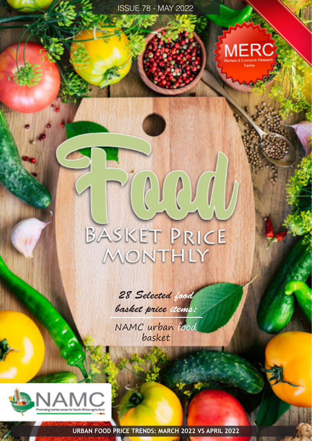

# BASKET PRICE MONTHLY

 $\ell$  )  $\ell$  )  $\ell$ 

*28 Selected food basket price items:*

NAMC urban food basket



**URBAN FOOD PRICE TRENDS: MARCH 2022 VS APRIL 2022**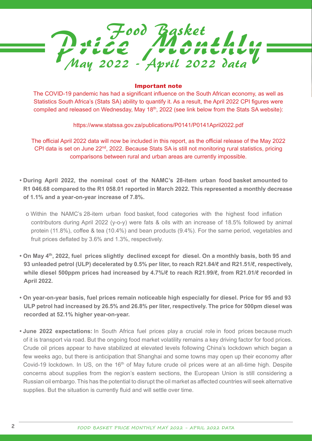

### Important note

The COVID-19 pandemic has had a significant influence on the South African economy, as well as Statistics South Africa's (Stats SA) ability to quantify it. As a result, the April 2022 CPI figures were compiled and released on Wednesday, May 18<sup>th</sup>, 2022 (see link below from the Stats SA website):

https://www.statssa.gov.za/publications/P0141/P0141April2022.pdf

The official April 2022 data will now be included in this report, as the official release of the May 2022 CPI data is set on June  $22<sup>nd</sup>$ , 2022. Because Stats SA is still not monitoring rural statistics, pricing comparisons between rural and urban areas are currently impossible.

- **During April 2022, the nominal cost of the NAMC's 28-item urban food basket amounted to R1 046.68 compared to the R1 058.01 reported in March 2022. This represented a monthly decrease of 1.1% and a year-on-year increase of 7.8%.** 
	- o Within the NAMC's 28-item urban food basket, food categories with the highest food inflation contributors during April 2022 (y-o-y) were fats & oils with an increase of 18.5% followed by animal protein (11.8%), coffee & tea (10.4%) and bean products (9.4%). For the same period, vegetables and fruit prices deflated by 3.6% and 1.3%, respectively.
- **On May 4th, 2022, fuel prices slightly declined except for diesel. On a monthly basis, both 95 and 93 unleaded petrol (ULP) decelerated by 0.5% per liter, to reach R21.84/ℓ and R21.51/ℓ, respectively, while diesel 500ppm prices had increased by 4.7%/ℓ to reach R21.99/ℓ, from R21.01/ℓ recorded in April 2022.**
- **On year-on-year basis, fuel prices remain noticeable high especially for diesel. Price for 95 and 93 ULP petrol had increased by 26.5% and 26.8% per liter, respectively. The price for 500pm diesel was recorded at 52.1% higher year-on-year.**
- **June 2022 expectations:** In South Africa fuel prices play a crucial role in food prices because much of it is transport via road. But the ongoing food market volatility remains a key driving factor for food prices. Crude oil prices appear to have stabilized at elevated levels following China's lockdown which began a few weeks ago, but there is anticipation that Shanghai and some towns may open up their economy after Covid-19 lockdown. In US, on the 16<sup>th</sup> of May future crude oil prices were at an all-time high. Despite concerns about supplies from the region's eastern sections, the European Union is still considering a Russian oil embargo. This has the potential to disrupt the oil market as affected countries will seek alternative supplies. But the situation is currently fluid and will settle over time.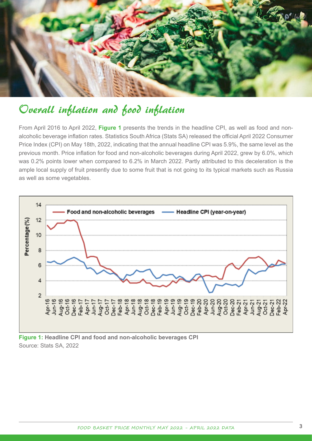

## Overall inflation and food inflation

From April 2016 to April 2022, **Figure 1** presents the trends in the headline CPI, as well as food and nonalcoholic beverage inflation rates. Statistics South Africa (Stats SA) released the official April 2022 Consumer Price Index (CPI) on May 18th, 2022, indicating that the annual headline CPI was 5.9%, the same level as the previous month. Price inflation for food and non-alcoholic beverages during April 2022, grew by 6.0%, which was 0.2% points lower when compared to 6.2% in March 2022. Partly attributed to this deceleration is the ample local supply of fruit presently due to some fruit that is not going to its typical markets such as Russia as well as some vegetables.



**Figure 1: Headline CPI and food and non-alcoholic beverages CPI** Source: Stats SA, 2022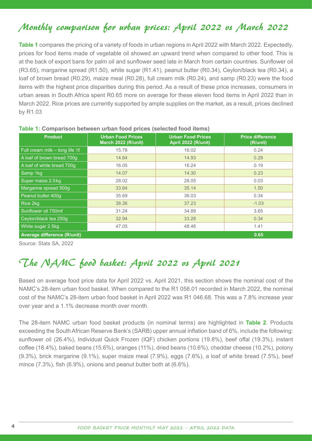## Monthly comparison for urban prices: April 2022 vs March 2022

**Table 1** compares the pricing of a variety of foods in urban regions in April 2022 with March 2022. Expectedly, prices for food items made of vegetable oil showed an upward trend when compared to other food. This is at the back of export bans for palm oil and sunflower seed late in March from certain countries. Sunflower oil (R3.65), margarine spread (R1.50), white sugar (R1.41), peanut butter (R0.34), Ceylon/black tea (R0.34), a loaf of brown bread (R0.29), maize meal (R0.28), full cream milk (R0.24), and samp (R0.23) were the food items with the highest price disparities during this period. As a result of these price increases, consumers in urban areas in South Africa spent R0.65 more on average for these eleven food items in April 2022 than in March 2022. Rice prices are currently supported by ample supplies on the market, as a result, prices declined by R1.03

| <b>Product</b>                         | <b>Urban Food Prices</b><br>March 2022 (R/unit) | <b>Urban Food Prices</b><br>April 2022 (R/unit) | <b>Price difference</b><br>(R/unit) |  |
|----------------------------------------|-------------------------------------------------|-------------------------------------------------|-------------------------------------|--|
| Full cream milk $-$ long life 1 $\ell$ | 15.78                                           | 16.02                                           | 0.24                                |  |
| A loaf of brown bread 700g             | 14.64                                           | 14.93                                           | 0.29                                |  |
| A loaf of white bread 700g             | 16.05                                           | 16.24                                           | 0.19                                |  |
| Samp 1kg                               | 14.07                                           | 14.30                                           | 0.23                                |  |
| Super maize 2.5 kg                     | 28.02                                           | 28.05                                           | 0.03                                |  |
| Margarine spread 500g                  | 33.64                                           | 35.14                                           | 1.50                                |  |
| Peanut butter 400g                     | 35.69                                           | 36.03                                           | 0.34                                |  |
| Rice 2kg                               | 38.26                                           | 37.23                                           | $-1.03$                             |  |
| Sunflower oil 750ml                    | 31.24                                           | 34.89                                           | 3.65                                |  |
| Ceylon/black tea 250g                  | 32.94                                           | 33.28                                           | 0.34                                |  |
| White sugar 2.5kg                      | 47.05                                           | 48.46                                           | 1.41                                |  |
| Average difference (R/unit)            |                                                 |                                                 | 0.65                                |  |

### **Table 1: Comparison between urban food prices (selected food items)**

Source: Stats SA, 2022

# The NAMC food basket: April 2022 vs April 2021

Based on average food price data for April 2022 vs. April 2021, this section shows the nominal cost of the NAMC's 28-item urban food basket. When compared to the R1 058.01 recorded in March 2022, the nominal cost of the NAMC's 28-item urban food basket in April 2022 was R1 046.68. This was a 7.8% increase year over year and a 1.1% decrease month over month.

The 28-item NAMC urban food basket products (in nominal terms) are highlighted in **Table 2**. Products exceeding the South African Reserve Bank's (SARB) upper annual inflation band of 6%, include the following: sunflower oil (26.4%), Individual Quick Frozen (IQF) chicken portions (19.8%), beef offal (19.3%), instant coffee (18.4%), baked beans (15.6%), oranges (11%), dried beans (10.6%), cheddar cheese (10.2%), polony (9.3%), brick margarine (9.1%), super maize meal (7.9%), eggs (7.6%), a loaf of white bread (7.5%), beef mince (7.3%), fish (6.9%), onions and peanut butter both at (6.6%).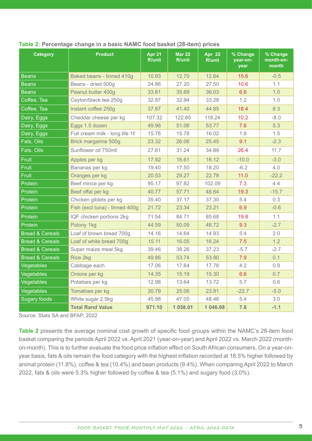| <b>Category</b>            | <b>Product</b>                 | <b>Apr 21</b><br><b>R/unit</b> | <b>Mar 22</b><br>R/unit | <b>Apr 22</b><br>R/unit | % Change<br>year-on-<br>year | % Change<br>month-on-<br>month |
|----------------------------|--------------------------------|--------------------------------|-------------------------|-------------------------|------------------------------|--------------------------------|
| <b>Beans</b>               | Baked beans - tinned 410g      | 10.93                          | 12.70                   | 12.64                   | 15.6                         | $-0.5$                         |
| <b>Beans</b>               | Beans - dried 500g             | 24.86                          | 27.20                   | 27.50                   | 10.6                         | 1.1                            |
| <b>Beans</b>               | Peanut butter 400g             | 33.81                          | 35.69                   | 36.03                   | 6.6                          | 1.0                            |
| Coffee, Tea                | Ceylon/black tea 250g          | 32.87                          | 32.94                   | 33.28                   | 1.2                          | 1.0                            |
| Coffee, Tea                | Instant coffee 250g            | 37.87                          | 41.40                   | 44.85                   | 18.4                         | 8.3                            |
| Dairy, Eggs                | Cheddar cheese per kg          | 107.32                         | 122.85                  | 118.24                  | 10.2                         | $-8.0$                         |
| Dairy, Eggs                | Eggs 1.5 dozen                 | 49.96                          | 51.06                   | 53.77                   | 7.6                          | 5.3                            |
| Dairy, Eggs                | Full cream milk - long life 18 | 15.76                          | 15.78                   | 16.02                   | 1.6                          | 1.5                            |
| Fats, Oils                 | Brick margarine 500g           | 23.32                          | 26.06                   | 25.45                   | 9.1                          | $-2.3$                         |
| Fats, Oils                 | Sunflower oil 750ml            | 27.61                          | 31.24                   | 34.89                   | 26.4                         | 11.7                           |
| <b>Fruit</b>               | Apples per kg                  | 17.92                          | 16.61                   | 16.12                   | $-10.0$                      | $-3.0$                         |
| Fruit                      | Bananas per kg                 | 19.40                          | 17.50                   | 18.20                   | $-6.2$                       | 4.0                            |
| Fruit                      | Oranges per kg                 | 20.53                          | 29.27                   | 22.78                   | 11.0                         | $-22.2$                        |
| Protein                    | Beef mince per kg              | 95.17                          | 97.82                   | 102.09                  | 7.3                          | 4.4                            |
| Protein                    | Beef offal per kg              | 40.77                          | 57.71                   | 48.64                   | 19.3                         | $-15.7$                        |
| Protein                    | Chicken giblets per kg         | 35.40                          | 37.17                   | 37.30                   | 5.4                          | 0.3                            |
| Protein                    | Fish (excl tuna) - tinned 400g | 21.72                          | 23.34                   | 23.21                   | 6.9                          | $-0.6$                         |
| Protein                    | IQF chicken portions 2kg       | 71.54                          | 84.71                   | 85.68                   | 19.8                         | 1.1                            |
| Protein                    | Polony 1kg                     | 44.59                          | 50.09                   | 48.72                   | 9.3                          | $-2.7$                         |
| <b>Bread &amp; Cereals</b> | Loaf of brown bread 700g       | 14.16                          | 14.64                   | 14.93                   | 5.4                          | 2.0                            |
| <b>Bread &amp; Cereals</b> | Loaf of white bread 700g       | 15.11                          | 16.05                   | 16.24                   | 7.5                          | 1.2                            |
| <b>Bread &amp; Cereals</b> | Super maize meal 5kg           | 39.46                          | 38.26                   | 37.23                   | $-5.7$                       | $-2.7$                         |
| <b>Bread &amp; Cereals</b> | Rice 2kg                       | 49.86                          | 53.74                   | 53.80                   | 7.9                          | 0.1                            |
| Vegetables                 | Cabbage each                   | 17.06                          | 17.64                   | 17.78                   | 4.2                          | 0.9                            |
| Vegetables                 | Onions per kg                  | 14.35                          | 15.19                   | 15.30                   | 6.6                          | 0.7                            |
| Vegetables                 | Potatoes per kg                | 12.98                          | 13.64                   | 13.72                   | 5.7                          | 0.6                            |
| Vegetables                 | Tomatoes per kg                | 30.79                          | 25.06                   | 23.81                   | $-22.7$                      | $-5.0$                         |
| <b>Sugary foods</b>        | White sugar 2.5kg              | 45.98                          | 47.05                   | 48.46                   | 5.4                          | 3.0                            |
|                            | <b>Total Rand Value</b>        | 971.10                         | 1 058.01                | 1 046.68                | 7.8                          | $-1.1$                         |

### **Table 2: Percentage change in a basic NAMC food basket (28-item) prices**

Source: Stats SA and BFAP, 2022

**Table 2** presents the average nominal cost growth of specific food groups within the NAMC's 28-item food basket comparing the periods April 2022 vs. April 2021 (year-on-year) and April 2022 vs. March 2022 (monthon-month). This is to further evaluate the food price inflation effect on South African consumers. On a year-onyear basis, fats & oils remain the food category with the highest inflation recorded at 18.5% higher followed by animal protein (11.8%), coffee & tea (10.4%) and bean products (9.4%). When comparing April 2022 to March 2022, fats & oils were 5.3% higher followed by coffee & tea (5.1%) and sugary food (3.0%).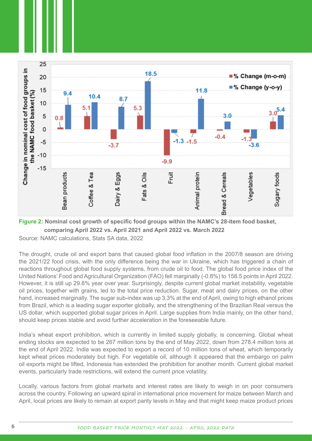

**Figure 2: Nominal cost growth of specific food groups within the NAMC's 28-item food basket, comparing April 2022 vs. April 2021 and April 2022 vs. March 2022** 

Source: NAMC calculations, Stats SA data, 2022

The drought, crude oil and export bans that caused global food inflation in the 2007/8 season are driving the 2021/22 food crisis, with the only difference being the war in Ukraine, which has triggered a chain of reactions throughout global food supply systems, from crude oil to food. The global food price index of the United Nations' Food and Agricultural Organization (FAO) fell marginally (-0.8%) to 158.5 points in April 2022. However, it is still up 29.8% year over year. Surprisingly, despite current global market instability, vegetable oil prices, together with grains, led to the total price reduction. Sugar, meat and dairy prices, on the other hand, increased marginally. The sugar sub-index was up 3.3% at the end of April, owing to high ethanol prices from Brazil, which is a leading sugar exporter globally, and the strengthening of the Brazilian Real versus the US dollar, which supported global sugar prices in April. Large supplies from India mainly, on the other hand, should keep prices stable and avoid further acceleration in the foreseeable future.

India's wheat export prohibition, which is currently in limited supply globally, is concerning. Global wheat ending stocks are expected to be 267 million tons by the end of May 2022, down from 278.4 million tons at the end of April 2022. India was expected to export a record of 10 million tons of wheat, which temporarily kept wheat prices moderately but high. For vegetable oil, although it appeared that the embargo on palm oil exports might be lifted, Indonesia has extended the prohibition for another month. Current global market events, particularly trade restrictions, will extend the current price volatility.

Locally, various factors from global markets and interest rates are likely to weigh in on poor consumers across the country. Following an upward spiral in international price movement for maize between March and April, local prices are likely to remain at export parity levels in May and that might keep maize product prices